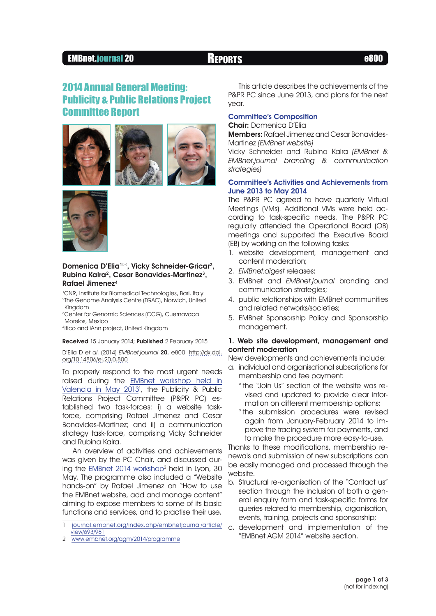## EMBnet.journal 20 Reports e800

# 2014 Annual General Meeting: Publicity & Public Relations Project Committee Report









## Domenica D'Elia<sup>1⊠</sup>, Vicky Schneider-Gricar<sup>2</sup>, Rubina Kalra<sup>2</sup>, Cesar Bonavides-Martinez<sup>3</sup>, Rafael Jimenez4

<sup>1</sup>CNR, Institute for Biomedical Technologies, Bari, Italy 2The Genome Analysis Centre (TGAC), Norwich, United Kingdom

<sup>3</sup>Center for Genomic Sciences (CCG), Cuernavaca Morelos, Mexico

4Itico and iAnn project, United Kingdom

Received 15 January 2014; Published 2 February 2015

D'Elia D et al. (2014) EMBnet.journal 20, e800. [http://dx.doi.](http://dx.doi.org/10.14806/ej.20.0.800) [org/10.14806/ej.20.0.800](http://dx.doi.org/10.14806/ej.20.0.800)

To properly respond to the most urgent needs raised during the [EMBnet workshop held in](http://journal.embnet.org/index.php/embnetjournal/article/view/693/981) [Valencia in May 2013](http://journal.embnet.org/index.php/embnetjournal/article/view/693/981)<sup>1</sup>, the Publicity & Public Relations Project Committee (P&PR PC) established two task-forces: i) a website taskforce, comprising Rafael Jimenez and Cesar Bonavides-Martinez; and ii) a communication strategy task-force, comprising Vicky Schneider and Rubina Kalra.

An overview of activities and achievements was given by the PC Chair, and discussed during the **EMBnet 2014 workshop<sup>2</sup> held in Lyon, 30** May. The programme also included a "Website hands-on" by Rafael Jimenez on "How to use the EMBnet website, add and manage content" aiming to expose members to some of its basic functions and services, and to practise their use.

2 [www.embnet.org/agm/2014/programme](http://www.embnet.org/agm/2014/programme)

This article describes the achievements of the P&PR PC since June 2013, and plans for the next year.

## Committee's Composition

Chair: Domenica D'Elia

Members: Rafael Jimenez and Cesar Bonavides-Martinez (EMBnet website)

Vicky Schneider and Rubina Kalra (EMBnet & EMBnet.journal branding & communication strategies)

## Committee's Activities and Achievements from June 2013 to May 2014

The P&PR PC agreed to have quarterly Virtual Meetings (VMs). Additional VMs were held according to task-specific needs. The P&PR PC regularly attended the Operational Board (OB) meetings and supported the Executive Board (EB) by working on the following tasks:

- 1. website development, management and content moderation;
- 2. EMBnet.digest releases;
- 3. EMBnet and EMBnet.journal branding and communication strategies;
- 4. public relationships with EMBnet communities and related networks/societies;
- 5. EMBnet Sponsorship Policy and Sponsorship management.

## 1. Web site development, management and content moderation

New developments and achievements include:

- a. individual and organisational subscriptions for membership and fee payment:
	- ° the "Join Us" section of the website was revised and updated to provide clear information on different membership options;
	- ° the submission procedures were revised again from January-February 2014 to improve the tracing system for payments, and to make the procedure more easy-to-use.

Thanks to these modifications, membership renewals and submission of new subscriptions can be easily managed and processed through the website.

- b. Structural re-organisation of the "Contact us" section through the inclusion of both a general enquiry form and task-specific forms for queries related to membership, organisation, events, training, projects and sponsorship;
- c. development and implementation of the "EMBnet AGM 2014" website section.

<sup>1</sup> [journal.embnet.org/index.php/embnetjournal/article/](http://journal.embnet.org/index.php/embnetjournal/article/view/693/981) [view/693/981](http://journal.embnet.org/index.php/embnetjournal/article/view/693/981)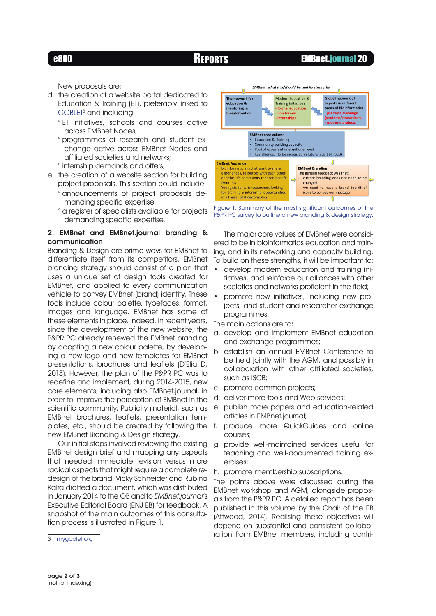## e800 Reports EMBnet.journal 20

New proposals are:

- d. the creation of a website portal dedicated to Education & Training (ET), preferably linked to [GOBLET](http://mygoblet.org/)<sup>3</sup> and including:
	- ° ET initiatives, schools and courses active across EMBnet Nodes;
	- ° programmes of research and student exchange active across EMBnet Nodes and affiliated societies and networks;
	- ° internship demands and offers;
- e. the creation of a website section for building project proposals. This section could include:
	- ° announcements of project proposals demanding specific expertise;
	- ° a register of specialists available for projects demanding specific expertise.

## 2. EMBnet and EMBnet.journal branding & communication

Branding & Design are prime ways for EMBnet to differentiate itself from its competitors. EMBnet branding strategy should consist of a plan that uses a unique set of design tools created for EMBnet, and applied to every communication vehicle to convey EMBnet (brand) identity. These tools include colour palette, typefaces, format, images and language. EMBnet has some of these elements in place. Indeed, in recent years, since the development of the new website, the P&PR PC already renewed the EMBnet branding by adopting a new colour palette, by developing a new logo and new templates for EMBnet presentations, brochures and leaflets (D'Elia D, 2013). However, the plan of the P&PR PC was to redefine and implement, during 2014-2015, new core elements, including also EMBnet.journal, in order to improve the perception of EMBnet in the scientific community. Publicity material, such as EMBnet brochures, leaflets, presentation templates, etc., should be created by following the new EMBnet Branding & Design strategy.

Our initial steps involved reviewing the existing EMBnet design brief and mapping any aspects that needed immediate revision versus more radical aspects that might require a complete redesign of the brand. Vicky Schneider and Rubina Kalra drafted a document, which was distributed in January 2014 to the OB and to EMBnet.journal's Executive Editorial Board (ENJ EB) for feedback. A snapshot of the main outcomes of this consultation process is illustrated in Figure 1.



3 [mygoblet.org](http://mygoblet.org/)



Figure 1. Summary of the most significant outcomes of the P&PR PC survey to outline a new branding & design strategy.

The major core values of EMBnet were considered to be in bioinformatics education and training, and in its networking and capacity building. To build on these strengths, it will be important to:

- develop modern education and training initiatives, and reinforce our alliances with other societies and networks proficient in the field;
- promote new initiatives, including new projects, and student and researcher exchange programmes.

The main actions are to:

- a. develop and implement EMBnet education and exchange programmes;
- b. establish an annual EMBnet Conference to be held jointly with the AGM, and possibly in collaboration with other affiliated societies, such as ISCB;
- c. promote common projects;
- d. deliver more tools and Web services;
- e. publish more papers and education-related articles in EMBnet.journal;
- f. produce more QuickGuides and online courses;
- g. provide well-maintained services useful for teaching and well-documented training exercises;
- h. promote membership subscriptions.

The points above were discussed during the EMBnet workshop and AGM, alongside proposals from the P&PR PC. A detailed report has been published in this volume by the Chair of the EB (Attwood, 2014). Realising these objectives will depend on substantial and consistent collaboration from EMBnet members, including contri-